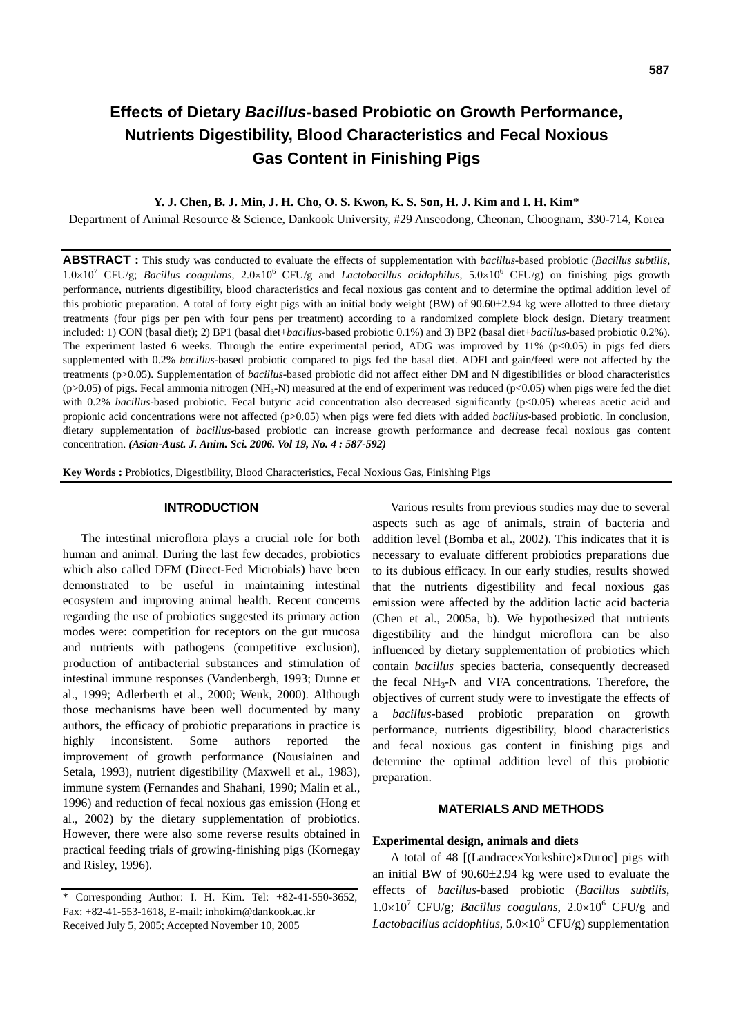## **Y. J. Chen, B. J. Min, J. H. Cho, O. S. Kwon, K. S. Son, H. J. Kim and I. H. Kim**\*

Department of Animal Resource & Science, Dankook University, #29 Anseodong, Cheonan, Choognam, 330-714, Korea

**ABSTRACT :** This study was conducted to evaluate the effects of supplementation with *bacillus*-based probiotic (*Bacillus subtilis*, 1.0×10<sup>7</sup> CFU/g; *Bacillus coagulans*, 2.0×10<sup>6</sup> CFU/g and *Lactobacillus acidophilus*, 5.0×10<sup>6</sup> CFU/g) on finishing pigs growth performance, nutrients digestibility, blood characteristics and fecal noxious gas content and to determine the optimal addition level of this probiotic preparation. A total of forty eight pigs with an initial body weight (BW) of 90.60±2.94 kg were allotted to three dietary treatments (four pigs per pen with four pens per treatment) according to a randomized complete block design. Dietary treatment included: 1) CON (basal diet); 2) BP1 (basal diet+*bacillus*-based probiotic 0.1%) and 3) BP2 (basal diet+*bacillus*-based probiotic 0.2%). The experiment lasted 6 weeks. Through the entire experimental period, ADG was improved by  $11\%$  (p<0.05) in pigs fed diets supplemented with 0.2% *bacillus*-based probiotic compared to pigs fed the basal diet. ADFI and gain/feed were not affected by the treatments (p>0.05). Supplementation of *bacillus*-based probiotic did not affect either DM and N digestibilities or blood characteristics (p>0.05) of pigs. Fecal ammonia nitrogen (NH<sub>3</sub>-N) measured at the end of experiment was reduced (p<0.05) when pigs were fed the diet with 0.2% *bacillus*-based probiotic. Fecal butyric acid concentration also decreased significantly (p<0.05) whereas acetic acid and propionic acid concentrations were not affected (p>0.05) when pigs were fed diets with added *bacillus*-based probiotic. In conclusion, dietary supplementation of *bacillus*-based probiotic can increase growth performance and decrease fecal noxious gas content concentration. *(Asian-Aust. J. Anim. Sci. 2006. Vol 19, No. 4 : 587-592)*

**Key Words :** Probiotics, Digestibility, Blood Characteristics, Fecal Noxious Gas, Finishing Pigs

### **INTRODUCTION**

The intestinal microflora plays a crucial role for both human and animal. During the last few decades, probiotics which also called DFM (Direct-Fed Microbials) have been demonstrated to be useful in maintaining intestinal ecosystem and improving animal health. Recent concerns regarding the use of probiotics suggested its primary action modes were: competition for receptors on the gut mucosa and nutrients with pathogens (competitive exclusion), production of antibacterial substances and stimulation of intestinal immune responses (Vandenbergh, 1993; Dunne et al., 1999; Adlerberth et al., 2000; Wenk, 2000). Although those mechanisms have been well documented by many authors, the efficacy of probiotic preparations in practice is highly inconsistent. Some authors reported the improvement of growth performance (Nousiainen and Setala, 1993), nutrient digestibility (Maxwell et al., 1983), immune system (Fernandes and Shahani, 1990; Malin et al., 1996) and reduction of fecal noxious gas emission (Hong et al., 2002) by the dietary supplementation of probiotics. However, there were also some reverse results obtained in practical feeding trials of growing-finishing pigs (Kornegay and Risley, 1996).

Various results from previous studies may due to several aspects such as age of animals, strain of bacteria and addition level (Bomba et al., 2002). This indicates that it is necessary to evaluate different probiotics preparations due to its dubious efficacy. In our early studies, results showed that the nutrients digestibility and fecal noxious gas emission were affected by the addition lactic acid bacteria (Chen et al., 2005a, b). We hypothesized that nutrients digestibility and the hindgut microflora can be also influenced by dietary supplementation of probiotics which contain *bacillus* species bacteria, consequently decreased the fecal  $NH_3-N$  and VFA concentrations. Therefore, the objectives of current study were to investigate the effects of a *bacillus*-based probiotic preparation on growth performance, nutrients digestibility, blood characteristics and fecal noxious gas content in finishing pigs and determine the optimal addition level of this probiotic preparation.

# **MATERIALS AND METHODS**

## **Experimental design, animals and diets**

A total of 48 [(Landrace×Yorkshire)×Duroc] pigs with an initial BW of 90.60±2.94 kg were used to evaluate the effects of *bacillus*-based probiotic (*Bacillus subtilis*,  $1.0\times10^{7}$  CFU/g; *Bacillus coagulans*,  $2.0\times10^{6}$  CFU/g and Lactobacillus acidophilus, 5.0×10<sup>6</sup> CFU/g) supplementation

<sup>\*</sup> Corresponding Author: I. H. Kim. Tel: +82-41-550-3652, Fax: +82-41-553-1618, E-mail: inhokim@dankook.ac.kr Received July 5, 2005; Accepted November 10, 2005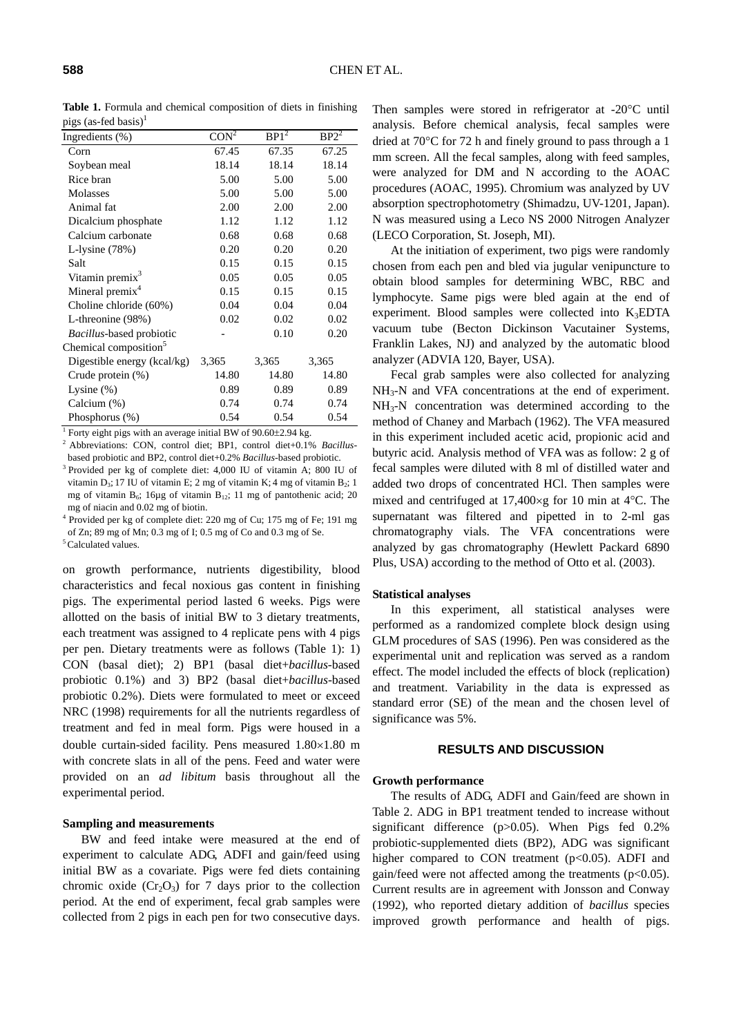**Table 1.** Formula and chemical composition of diets in finishing pigs (as-fed basis) $<sup>1</sup>$ </sup>

| $P_{\rm L}$ , as four cases,      |         |         |                              |
|-----------------------------------|---------|---------|------------------------------|
| Ingredients $(\%)$                | $CON^2$ | $BP1^2$ | BP <sub>2</sub> <sup>2</sup> |
| Corn                              | 67.45   | 67.35   | 67.25                        |
| Soybean meal                      | 18.14   | 18.14   | 18.14                        |
| Rice bran                         | 5.00    | 5.00    | 5.00                         |
| Molasses                          | 5.00    | 5.00    | 5.00                         |
| Animal fat                        | 2.00    | 2.00    | 2.00                         |
| Dicalcium phosphate               | 1.12    | 1.12    | 1.12                         |
| Calcium carbonate                 | 0.68    | 0.68    | 0.68                         |
| L-lysine $(78%)$                  | 0.20    | 0.20    | 0.20                         |
| Salt                              | 0.15    | 0.15    | 0.15                         |
| Vitamin premix <sup>3</sup>       | 0.05    | 0.05    | 0.05                         |
| Mineral premix <sup>4</sup>       | 0.15    | 0.15    | 0.15                         |
| Choline chloride (60%)            | 0.04    | 0.04    | 0.04                         |
| L-threonine (98%)                 | 0.02    | 0.02    | 0.02                         |
| Bacillus-based probiotic          |         | 0.10    | 0.20                         |
| Chemical composition <sup>5</sup> |         |         |                              |
| Digestible energy (kcal/kg)       | 3,365   | 3,365   | 3,365                        |
| Crude protein (%)                 | 14.80   | 14.80   | 14.80                        |
| Lysine $(\%)$                     | 0.89    | 0.89    | 0.89                         |
| Calcium (%)                       | 0.74    | 0.74    | 0.74                         |
| Phosphorus (%)                    | 0.54    | 0.54    | 0.54                         |

<sup>1</sup> Forty eight pigs with an average initial BW of  $90.60 \pm 2.94$  kg.

<sup>2</sup> Abbreviations: CON, control diet; BP1, control diet+0.1% *Bacillus*based probiotic and BP2, control diet+0.2% *Bacillus*-based probiotic. 3 Provided per kg of complete diet: 4,000 IU of vitamin A; 800 IU of

vitamin  $D_3$ ; 17 IU of vitamin E; 2 mg of vitamin K; 4 mg of vitamin  $B_2$ ; 1 mg of vitamin  $B_6$ ; 16µg of vitamin  $B_{12}$ ; 11 mg of pantothenic acid; 20 mg of niacin and 0.02 mg of biotin.

<sup>4</sup> Provided per kg of complete diet: 220 mg of Cu; 175 mg of Fe; 191 mg of Zn; 89 mg of Mn; 0.3 mg of I; 0.5 mg of Co and 0.3 mg of Se.

<sup>5</sup> Calculated values.

on growth performance, nutrients digestibility, blood characteristics and fecal noxious gas content in finishing pigs. The experimental period lasted 6 weeks. Pigs were allotted on the basis of initial BW to 3 dietary treatments, each treatment was assigned to 4 replicate pens with 4 pigs per pen. Dietary treatments were as follows (Table 1): 1) CON (basal diet); 2) BP1 (basal diet+*bacillus*-based probiotic 0.1%) and 3) BP2 (basal diet+*bacillus*-based probiotic 0.2%). Diets were formulated to meet or exceed NRC (1998) requirements for all the nutrients regardless of treatment and fed in meal form. Pigs were housed in a double curtain-sided facility. Pens measured 1.80×1.80 m with concrete slats in all of the pens. Feed and water were provided on an *ad libitum* basis throughout all the experimental period.

#### **Sampling and measurements**

BW and feed intake were measured at the end of experiment to calculate ADG, ADFI and gain/feed using initial BW as a covariate. Pigs were fed diets containing chromic oxide  $(Cr_2O_3)$  for 7 days prior to the collection period. At the end of experiment, fecal grab samples were collected from 2 pigs in each pen for two consecutive days.

Then samples were stored in refrigerator at -20°C until analysis. Before chemical analysis, fecal samples were dried at 70°C for 72 h and finely ground to pass through a 1 mm screen. All the fecal samples, along with feed samples, were analyzed for DM and N according to the AOAC procedures (AOAC, 1995). Chromium was analyzed by UV absorption spectrophotometry (Shimadzu, UV-1201, Japan). N was measured using a Leco NS 2000 Nitrogen Analyzer (LECO Corporation, St. Joseph, MI).

At the initiation of experiment, two pigs were randomly chosen from each pen and bled via jugular venipuncture to obtain blood samples for determining WBC, RBC and lymphocyte. Same pigs were bled again at the end of experiment. Blood samples were collected into  $K_3EDTA$ vacuum tube (Becton Dickinson Vacutainer Systems, Franklin Lakes, NJ) and analyzed by the automatic blood analyzer (ADVIA 120, Bayer, USA).

Fecal grab samples were also collected for analyzing NH<sub>3</sub>-N and VFA concentrations at the end of experiment.  $NH<sub>3</sub>-N$  concentration was determined according to the method of Chaney and Marbach (1962). The VFA measured in this experiment included acetic acid, propionic acid and butyric acid. Analysis method of VFA was as follow: 2 g of fecal samples were diluted with 8 ml of distilled water and added two drops of concentrated HCl. Then samples were mixed and centrifuged at 17,400×g for 10 min at 4°C. The supernatant was filtered and pipetted in to 2-ml gas chromatography vials. The VFA concentrations were analyzed by gas chromatography (Hewlett Packard 6890 Plus, USA) according to the method of Otto et al. (2003).

### **Statistical analyses**

In this experiment, all statistical analyses were performed as a randomized complete block design using GLM procedures of SAS (1996). Pen was considered as the experimental unit and replication was served as a random effect. The model included the effects of block (replication) and treatment. Variability in the data is expressed as standard error (SE) of the mean and the chosen level of significance was 5%.

## **RESULTS AND DISCUSSION**

### **Growth performance**

The results of ADG, ADFI and Gain/feed are shown in Table 2. ADG in BP1 treatment tended to increase without significant difference (p>0.05). When Pigs fed 0.2% probiotic-supplemented diets (BP2), ADG was significant higher compared to CON treatment  $(p<0.05)$ . ADFI and gain/feed were not affected among the treatments  $(p<0.05)$ . Current results are in agreement with Jonsson and Conway (1992), who reported dietary addition of *bacillus* species improved growth performance and health of pigs.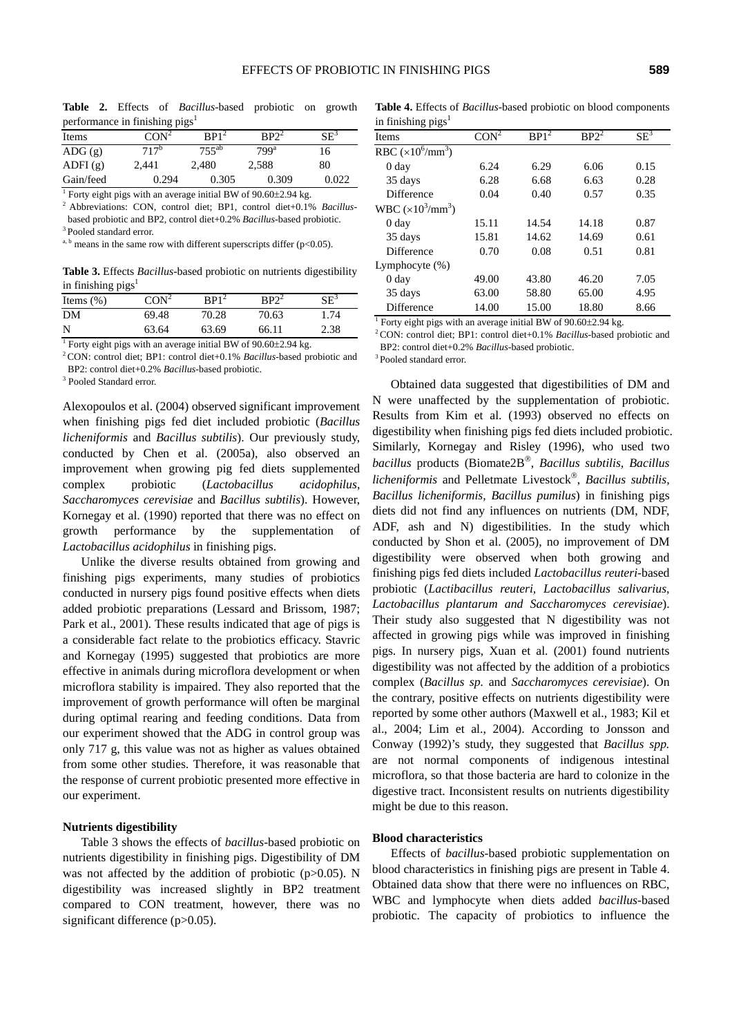**Table 2.** Effects of *Bacillus*-based probiotic on growth performance in finishing pigs<sup>1</sup>

| Items                  | CON <sup>2</sup> | BP1 <sup>2</sup> | BP2 <sup>2</sup> | $SE^3$ |
|------------------------|------------------|------------------|------------------|--------|
| $\text{ADG}(\text{g})$ | 717 <sup>b</sup> | $755^{ab}$       | $799^a$          | 16     |
| ADFI(g)                | 2,441            | 2.480            | 2,588            | 80     |
| Gain/feed              | 0.294            | 0.305            | 0.309            | 0.022  |

<sup>1</sup> Forty eight pigs with an average initial BW of  $90.60\pm2.94$  kg.

<sup>2</sup> Abbreviations: CON, control diet; BP1, control diet+0.1% *Bacillus*based probiotic and BP2, control diet+0.2% *Bacillus*-based probiotic. 3 Pooled standard error.

<sup>a, b</sup> means in the same row with different superscripts differ ( $p$ <0.05).

**Table 3.** Effects *Bacillus*-based probiotic on nutrients digestibility in finishing  $pigs<sup>1</sup>$ 

| - - -         |         |                             |                   |                 |
|---------------|---------|-----------------------------|-------------------|-----------------|
| Items $(\% )$ | $CON^2$ | $\mathbf{R} \mathbf{P} 1^2$ | $\mathbf{RP}^{2}$ | $\mathrm{SE}^3$ |
| DM            | 69.48   | 70.28                       | 70.63             | 1.74            |
| N             | 63.64   | 63.69                       | 66.11             | 2.38            |
| $1 -$         |         |                             | .                 |                 |

<sup>1</sup> Forty eight pigs with an average initial BW of  $90.60 \pm 2.94$  kg.

<sup>2</sup> CON: control diet; BP1: control diet+0.1% *Bacillus*-based probiotic and BP2: control diet+0.2% *Bacillus*-based probiotic.

<sup>3</sup> Pooled Standard error.

Alexopoulos et al. (2004) observed significant improvement when finishing pigs fed diet included probiotic (*Bacillus licheniformis* and *Bacillus subtilis*). Our previously study, conducted by Chen et al. (2005a), also observed an improvement when growing pig fed diets supplemented complex probiotic (*Lactobacillus acidophilus*, *Saccharomyces cerevisiae* and *Bacillus subtilis*). However, Kornegay et al. (1990) reported that there was no effect on growth performance by the supplementation of *Lactobacillus acidophilus* in finishing pigs.

Unlike the diverse results obtained from growing and finishing pigs experiments, many studies of probiotics conducted in nursery pigs found positive effects when diets added probiotic preparations (Lessard and Brissom, 1987; Park et al., 2001). These results indicated that age of pigs is a considerable fact relate to the probiotics efficacy. Stavric and Kornegay (1995) suggested that probiotics are more effective in animals during microflora development or when microflora stability is impaired. They also reported that the improvement of growth performance will often be marginal during optimal rearing and feeding conditions. Data from our experiment showed that the ADG in control group was only 717 g, this value was not as higher as values obtained from some other studies. Therefore, it was reasonable that the response of current probiotic presented more effective in our experiment.

#### **Nutrients digestibility**

Table 3 shows the effects of *bacillus*-based probiotic on nutrients digestibility in finishing pigs. Digestibility of DM was not affected by the addition of probiotic  $(p>0.05)$ . N digestibility was increased slightly in BP2 treatment compared to CON treatment, however, there was no significant difference (p>0.05).

**Table 4.** Effects of *Bacillus*-based probiotic on blood components in finishing  $pigs<sup>1</sup>$ 

| <b>Items</b>                    | CON <sup>2</sup> | BP <sub>1</sub> <sup>2</sup> | $BP2^2$ | $SE^3$ |
|---------------------------------|------------------|------------------------------|---------|--------|
| RBC $(\times 10^6/\text{mm}^3)$ |                  |                              |         |        |
| 0 day                           | 6.24             | 6.29                         | 6.06    | 0.15   |
| 35 days                         | 6.28             | 6.68                         | 6.63    | 0.28   |
| <b>Difference</b>               | 0.04             | 0.40                         | 0.57    | 0.35   |
| WBC $(\times 10^3/\text{mm}^3)$ |                  |                              |         |        |
| 0 day                           | 15.11            | 14.54                        | 14.18   | 0.87   |
| 35 days                         | 15.81            | 14.62                        | 14.69   | 0.61   |
| Difference                      | 0.70             | 0.08                         | 0.51    | 0.81   |
| Lymphocyte $(\%)$               |                  |                              |         |        |
| 0 day                           | 49.00            | 43.80                        | 46.20   | 7.05   |
| 35 days                         | 63.00            | 58.80                        | 65.00   | 4.95   |
| <b>Difference</b>               | 14.00            | 15.00                        | 18.80   | 8.66   |

<sup>1</sup> Forty eight pigs with an average initial BW of  $90.60 \pm 2.94$  kg.

<sup>2</sup> CON: control diet; BP1: control diet+0.1% *Bacillus*-based probiotic and BP2: control diet+0.2% *Bacillus*-based probiotic. 3 Pooled standard error.

Obtained data suggested that digestibilities of DM and N were unaffected by the supplementation of probiotic. Results from Kim et al. (1993) observed no effects on digestibility when finishing pigs fed diets included probiotic. Similarly, Kornegay and Risley (1996), who used two *bacillus* products (Biomate2B®, *Bacillus subtilis, Bacillus licheniformis* and Pelletmate Livestock®, *Bacillus subtilis, Bacillus licheniformis, Bacillus pumilus*) in finishing pigs diets did not find any influences on nutrients (DM, NDF, ADF, ash and N) digestibilities. In the study which conducted by Shon et al. (2005), no improvement of DM digestibility were observed when both growing and finishing pigs fed diets included *Lactobacillus reuteri*-based probiotic (*Lactibacillus reuteri, Lactobacillus salivarius, Lactobacillus plantarum and Saccharomyces cerevisiae*). Their study also suggested that N digestibility was not affected in growing pigs while was improved in finishing pigs. In nursery pigs, Xuan et al. (2001) found nutrients digestibility was not affected by the addition of a probiotics complex (*Bacillus sp.* and *Saccharomyces cerevisiae*). On the contrary, positive effects on nutrients digestibility were reported by some other authors (Maxwell et al., 1983; Kil et al., 2004; Lim et al., 2004). According to Jonsson and Conway (1992)'s study, they suggested that *Bacillus spp.* are not normal components of indigenous intestinal microflora, so that those bacteria are hard to colonize in the digestive tract. Inconsistent results on nutrients digestibility might be due to this reason.

#### **Blood characteristics**

Effects of *bacillus*-based probiotic supplementation on blood characteristics in finishing pigs are present in Table 4. Obtained data show that there were no influences on RBC, WBC and lymphocyte when diets added *bacillus*-based probiotic. The capacity of probiotics to influence the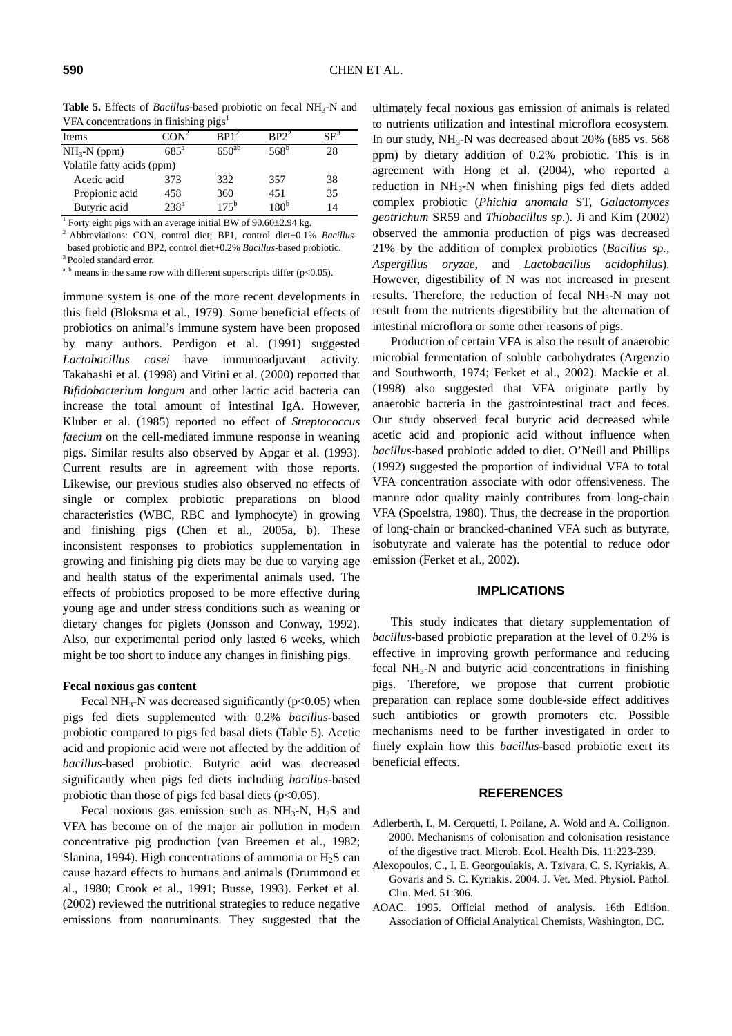**Table 5.** Effects of *Bacillus*-based probiotic on fecal NH<sub>3</sub>-N and VFA concentrations in finishing pigs<sup>1</sup>

| Items                      | $\mathsf{CON}^2$ | $\mathbf{R} \mathbf{P} 1^2$ | RP <sup>2</sup> | $\mathsf{S}\mathsf{F}^3$ |  |
|----------------------------|------------------|-----------------------------|-----------------|--------------------------|--|
| $NH3-N$ (ppm)              | $685^{\circ}$    | $650^{ab}$                  | $568^b$         | 28                       |  |
| Volatile fatty acids (ppm) |                  |                             |                 |                          |  |
| Acetic acid                | 373              | 332                         | 357             | 38                       |  |
| Propionic acid             | 458              | 360                         | 451             | 35                       |  |
| Butyric acid               | 238 <sup>a</sup> | $175^{\mathrm{b}}$          | $180^{\rm b}$   | 14                       |  |

<sup>1</sup> Forty eight pigs with an average initial BW of  $90.60 \pm 2.94$  kg.

<sup>2</sup> Abbreviations: CON, control diet; BP1, control diet+0.1% *Bacillus*based probiotic and BP2, control diet+0.2% *Bacillus*-based probiotic. 3 Pooled standard error.

<sup>a, b</sup> means in the same row with different superscripts differ ( $p$ <0.05).

immune system is one of the more recent developments in this field (Bloksma et al., 1979). Some beneficial effects of probiotics on animal's immune system have been proposed by many authors. Perdigon et al. (1991) suggested *Lactobacillus casei* have immunoadjuvant activity. Takahashi et al. (1998) and Vitini et al. (2000) reported that *Bifidobacterium longum* and other lactic acid bacteria can increase the total amount of intestinal IgA. However, Kluber et al. (1985) reported no effect of *Streptococcus faecium* on the cell-mediated immune response in weaning pigs. Similar results also observed by Apgar et al. (1993). Current results are in agreement with those reports. Likewise, our previous studies also observed no effects of single or complex probiotic preparations on blood characteristics (WBC, RBC and lymphocyte) in growing and finishing pigs (Chen et al., 2005a, b). These inconsistent responses to probiotics supplementation in growing and finishing pig diets may be due to varying age and health status of the experimental animals used. The effects of probiotics proposed to be more effective during young age and under stress conditions such as weaning or dietary changes for piglets (Jonsson and Conway, 1992). Also, our experimental period only lasted 6 weeks, which might be too short to induce any changes in finishing pigs.

#### **Fecal noxious gas content**

Fecal NH<sub>3</sub>-N was decreased significantly ( $p$ <0.05) when pigs fed diets supplemented with 0.2% *bacillus*-based probiotic compared to pigs fed basal diets (Table 5). Acetic acid and propionic acid were not affected by the addition of *bacillus*-based probiotic. Butyric acid was decreased significantly when pigs fed diets including *bacillus*-based probiotic than those of pigs fed basal diets  $(p<0.05)$ .

Fecal noxious gas emission such as  $NH_3-N$ ,  $H_2S$  and VFA has become on of the major air pollution in modern concentrative pig production (van Breemen et al., 1982; Slanina, 1994). High concentrations of ammonia or  $H_2S$  can cause hazard effects to humans and animals (Drummond et al., 1980; Crook et al., 1991; Busse, 1993). Ferket et al. (2002) reviewed the nutritional strategies to reduce negative emissions from nonruminants. They suggested that the

ultimately fecal noxious gas emission of animals is related to nutrients utilization and intestinal microflora ecosystem. In our study,  $NH_3-N$  was decreased about 20% (685 vs. 568) ppm) by dietary addition of 0.2% probiotic. This is in agreement with Hong et al. (2004), who reported a reduction in NH<sub>3</sub>-N when finishing pigs fed diets added complex probiotic (*Phichia anomala* ST, *Galactomyces geotrichum* SR59 and *Thiobacillus sp.*). Ji and Kim (2002) observed the ammonia production of pigs was decreased 21% by the addition of complex probiotics (*Bacillus sp.*, *Aspergillus oryzae*, and *Lactobacillus acidophilus*). However, digestibility of N was not increased in present results. Therefore, the reduction of fecal  $NH<sub>3</sub>-N$  may not result from the nutrients digestibility but the alternation of intestinal microflora or some other reasons of pigs.

Production of certain VFA is also the result of anaerobic microbial fermentation of soluble carbohydrates (Argenzio and Southworth, 1974; Ferket et al., 2002). Mackie et al. (1998) also suggested that VFA originate partly by anaerobic bacteria in the gastrointestinal tract and feces. Our study observed fecal butyric acid decreased while acetic acid and propionic acid without influence when *bacillus*-based probiotic added to diet. O'Neill and Phillips (1992) suggested the proportion of individual VFA to total VFA concentration associate with odor offensiveness. The manure odor quality mainly contributes from long-chain VFA (Spoelstra, 1980). Thus, the decrease in the proportion of long-chain or brancked-chanined VFA such as butyrate, isobutyrate and valerate has the potential to reduce odor emission (Ferket et al., 2002).

### **IMPLICATIONS**

This study indicates that dietary supplementation of *bacillus*-based probiotic preparation at the level of 0.2% is effective in improving growth performance and reducing fecal  $NH<sub>3</sub>-N$  and butyric acid concentrations in finishing pigs. Therefore, we propose that current probiotic preparation can replace some double-side effect additives such antibiotics or growth promoters etc. Possible mechanisms need to be further investigated in order to finely explain how this *bacillus*-based probiotic exert its beneficial effects.

### **REFERENCES**

- Adlerberth, I., M. Cerquetti, I. Poilane, A. Wold and A. Collignon. 2000. Mechanisms of colonisation and colonisation resistance of the digestive tract. Microb. Ecol. Health Dis. 11:223-239.
- Alexopoulos, C., I. E. Georgoulakis, A. Tzivara, C. S. Kyriakis, A. Govaris and S. C. Kyriakis. 2004. J. Vet. Med. Physiol. Pathol. Clin. Med. 51:306.
- AOAC. 1995. Official method of analysis. 16th Edition. Association of Official Analytical Chemists, Washington, DC.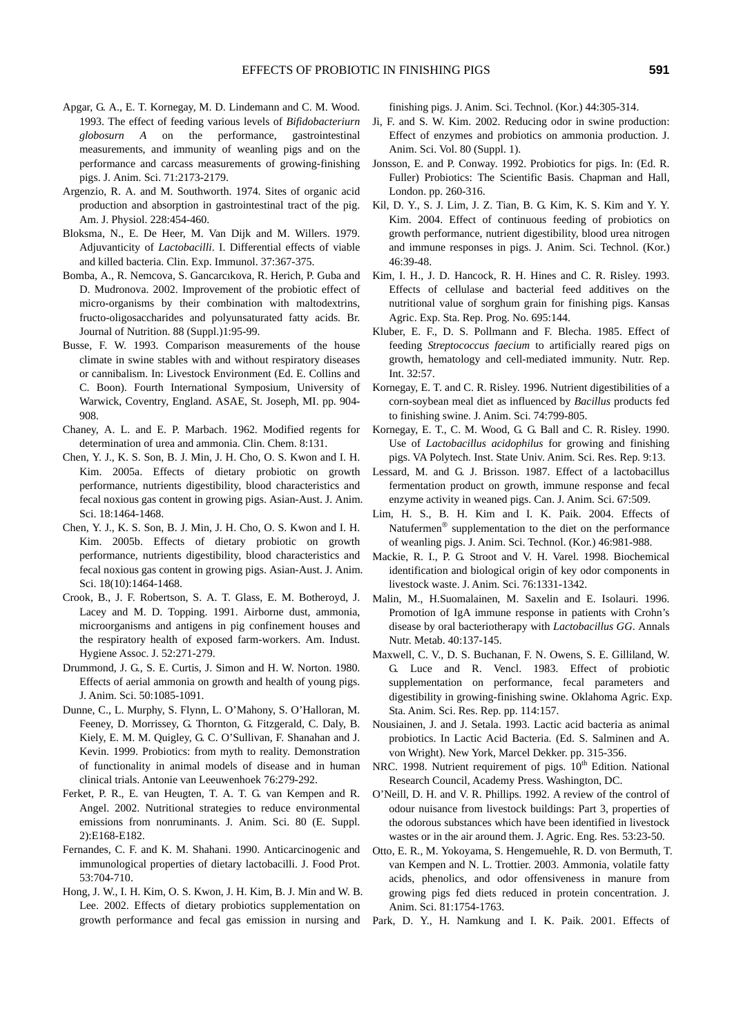- Apgar, G. A., E. T. Kornegay, M. D. Lindemann and C. M. Wood. 1993. The effect of feeding various levels of *Bifidobacteriurn globosurn A* on the performance, gastrointestinal measurements, and immunity of weanling pigs and on the performance and carcass measurements of growing-finishing pigs. J. Anim. Sci. 71:2173-2179.
- Argenzio, R. A. and M. Southworth. 1974. Sites of organic acid production and absorption in gastrointestinal tract of the pig. Am. J. Physiol. 228:454-460.
- Bloksma, N., E. De Heer, M. Van Dijk and M. Willers. 1979. Adjuvanticity of *Lactobacilli*. I. Differential effects of viable and killed bacteria. Clin. Exp. Immunol. 37:367-375.
- Bomba, A., R. Nemcova, S. Gancarcıkova, R. Herich, P. Guba and D. Mudronova. 2002. Improvement of the probiotic effect of micro-organisms by their combination with maltodextrins, fructo-oligosaccharides and polyunsaturated fatty acids. Br. Journal of Nutrition. 88 (Suppl.)1:95-99.
- Busse, F. W. 1993. Comparison measurements of the house climate in swine stables with and without respiratory diseases or cannibalism. In: Livestock Environment (Ed. E. Collins and C. Boon). Fourth International Symposium, University of Warwick, Coventry, England. ASAE, St. Joseph, MI. pp. 904- 908.
- Chaney, A. L. and E. P. Marbach. 1962. Modified regents for determination of urea and ammonia. Clin. Chem. 8:131.
- Chen, Y. J., K. S. Son, B. J. Min, J. H. Cho, O. S. Kwon and I. H. Kim. 2005a. Effects of dietary probiotic on growth performance, nutrients digestibility, blood characteristics and fecal noxious gas content in growing pigs. Asian-Aust. J. Anim. Sci. 18:1464-1468.
- Chen, Y. J., K. S. Son, B. J. Min, J. H. Cho, O. S. Kwon and I. H. Kim. 2005b. Effects of dietary probiotic on growth performance, nutrients digestibility, blood characteristics and fecal noxious gas content in growing pigs. Asian-Aust. J. Anim. Sci. 18(10):1464-1468.
- Crook, B., J. F. Robertson, S. A. T. Glass, E. M. Botheroyd, J. Lacey and M. D. Topping. 1991. Airborne dust, ammonia, microorganisms and antigens in pig confinement houses and the respiratory health of exposed farm-workers. Am. Indust. Hygiene Assoc. J. 52:271-279.
- Drummond, J. G., S. E. Curtis, J. Simon and H. W. Norton. 1980. Effects of aerial ammonia on growth and health of young pigs. J. Anim. Sci. 50:1085-1091.
- Dunne, C., L. Murphy, S. Flynn, L. O'Mahony, S. O'Halloran, M. Feeney, D. Morrissey, G. Thornton, G. Fitzgerald, C. Daly, B. Kiely, E. M. M. Quigley, G. C. O'Sullivan, F. Shanahan and J. Kevin. 1999. Probiotics: from myth to reality. Demonstration of functionality in animal models of disease and in human clinical trials. Antonie van Leeuwenhoek 76:279-292.
- Ferket, P. R., E. van Heugten, T. A. T. G. van Kempen and R. Angel. 2002. Nutritional strategies to reduce environmental emissions from nonruminants. J. Anim. Sci. 80 (E. Suppl. 2):E168-E182.
- Fernandes, C. F. and K. M. Shahani. 1990. Anticarcinogenic and immunological properties of dietary lactobacilli. J. Food Prot. 53:704-710.
- Hong, J. W., I. H. Kim, O. S. Kwon, J. H. Kim, B. J. Min and W. B. Lee. 2002. Effects of dietary probiotics supplementation on growth performance and fecal gas emission in nursing and

finishing pigs. J. Anim. Sci. Technol. (Kor.) 44:305-314.

- Ji, F. and S. W. Kim. 2002. Reducing odor in swine production: Effect of enzymes and probiotics on ammonia production. J. Anim. Sci. Vol. 80 (Suppl. 1).
- Jonsson, E. and P. Conway. 1992. Probiotics for pigs. In: (Ed. R. Fuller) Probiotics: The Scientific Basis. Chapman and Hall, London. pp. 260-316.
- Kil, D. Y., S. J. Lim, J. Z. Tian, B. G. Kim, K. S. Kim and Y. Y. Kim. 2004. Effect of continuous feeding of probiotics on growth performance, nutrient digestibility, blood urea nitrogen and immune responses in pigs. J. Anim. Sci. Technol. (Kor.) 46:39-48.
- Kim, I. H., J. D. Hancock, R. H. Hines and C. R. Risley. 1993. Effects of cellulase and bacterial feed additives on the nutritional value of sorghum grain for finishing pigs. Kansas Agric. Exp. Sta. Rep. Prog. No. 695:144.
- Kluber, E. F., D. S. Pollmann and F. Blecha. 1985. Effect of feeding *Streptococcus faecium* to artificially reared pigs on growth, hematology and cell-mediated immunity. Nutr. Rep. Int. 32:57.
- Kornegay, E. T. and C. R. Risley. 1996. Nutrient digestibilities of a corn-soybean meal diet as influenced by *Bacillus* products fed to finishing swine. J. Anim. Sci. 74:799-805.
- Kornegay, E. T., C. M. Wood, G. G. Ball and C. R. Risley. 1990. Use of *Lactobacillus acidophilus* for growing and finishing pigs. VA Polytech. Inst. State Univ. Anim. Sci. Res. Rep. 9:13.
- Lessard, M. and G. J. Brisson. 1987. Effect of a lactobacillus fermentation product on growth, immune response and fecal enzyme activity in weaned pigs. Can. J. Anim. Sci. 67:509.
- Lim, H. S., B. H. Kim and I. K. Paik. 2004. Effects of Natufermen® supplementation to the diet on the performance of weanling pigs. J. Anim. Sci. Technol. (Kor.) 46:981-988.
- Mackie, R. I., P. G. Stroot and V. H. Varel. 1998. Biochemical identification and biological origin of key odor components in livestock waste. J. Anim. Sci. 76:1331-1342.
- Malin, M., H.Suomalainen, M. Saxelin and E. Isolauri. 1996. Promotion of IgA immune response in patients with Crohn's disease by oral bacteriotherapy with *Lactobacillus GG*. Annals Nutr. Metab. 40:137-145.
- Maxwell, C. V., D. S. Buchanan, F. N. Owens, S. E. Gilliland, W. G. Luce and R. Vencl. 1983. Effect of probiotic supplementation on performance, fecal parameters and digestibility in growing-finishing swine. Oklahoma Agric. Exp. Sta. Anim. Sci. Res. Rep. pp. 114:157.
- Nousiainen, J. and J. Setala. 1993. Lactic acid bacteria as animal probiotics. In Lactic Acid Bacteria. (Ed. S. Salminen and A. von Wright). New York, Marcel Dekker. pp. 315-356.
- NRC. 1998. Nutrient requirement of pigs.  $10<sup>th</sup>$  Edition. National Research Council, Academy Press. Washington, DC.
- O'Neill, D. H. and V. R. Phillips. 1992. A review of the control of odour nuisance from livestock buildings: Part 3, properties of the odorous substances which have been identified in livestock wastes or in the air around them. J. Agric. Eng. Res. 53:23-50.
- Otto, E. R., M. Yokoyama, S. Hengemuehle, R. D. von Bermuth, T. van Kempen and N. L. Trottier. 2003. Ammonia, volatile fatty acids, phenolics, and odor offensiveness in manure from growing pigs fed diets reduced in protein concentration. J. Anim. Sci. 81:1754-1763.
- Park, D. Y., H. Namkung and I. K. Paik. 2001. Effects of